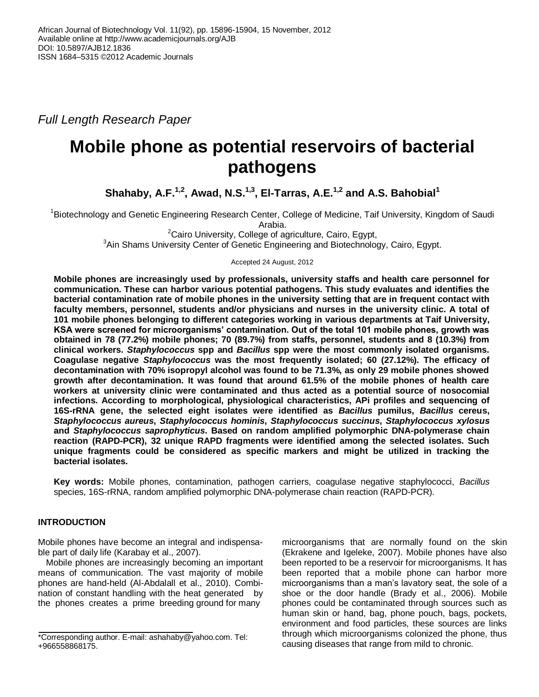*Full Length Research Paper*

# **Mobile phone as potential reservoirs of bacterial pathogens**

**Shahaby, A.F. 1,2, Awad, N.S. 1,3, El-Tarras, A.E.1,2 and A.S. Bahobial<sup>1</sup>**

<sup>1</sup>Biotechnology and Genetic Engineering Research Center, College of Medicine, Taif University, Kingdom of Saudi Arabia.

> <sup>2</sup>Cairo University, College of agriculture, Cairo, Egypt, <sup>3</sup>Ain Shams University Center of Genetic Engineering and Biotechnology, Cairo, Egypt.

> > Accepted 24 August, 2012

**Mobile phones are increasingly used by professionals, university staffs and health care personnel for communication. These can harbor various potential pathogens. This study evaluates and identifies the bacterial contamination rate of mobile phones in the university setting that are in frequent contact with faculty members, personnel, students and/or physicians and nurses in the university clinic. A total of 101 mobile phones belonging to different categories working in various departments at Taif University, KSA were screened for microorganisms' contamination. Out of the total 101 mobile phones, growth was obtained in 78 (77.2%) mobile phones; 70 (89.7%) from staffs, personnel, students and 8 (10.3%) from clinical workers.** *Staphylococcus* **spp and** *Bacillus* **spp were the most commonly isolated organisms. Coagulase negative** *Staphylococcus* **was the most frequently isolated; 60 (27.12%). The efficacy of decontamination with 70% isopropyl alcohol was found to be 71.3%, as only 29 mobile phones showed growth after decontamination. It was found that around 61.5% of the mobile phones of health care workers at university clinic were contaminated and thus acted as a potential source of nosocomial infections. According to morphological, physiological characteristics, APi profiles and sequencing of 16S-rRNA gene, the selected eight isolates were identified as** *Bacillus* **pumilus,** *Bacillus* **cereus,**  *Staphylococcus aureus***,** *Staphylococcus hominis***,** *Staphylococcus succinus***,** *Staphylococcus xylosus* **and** *Staphylococcus saprophyticus***. Based on random amplified polymorphic DNA-polymerase chain reaction (RAPD-PCR), 32 unique RAPD fragments were identified among the selected isolates. Such unique fragments could be considered as specific markers and might be utilized in tracking the bacterial isolates.** 

**Key words:** Mobile phones, contamination, pathogen carriers, coagulase negative staphylococci, *Bacillus*  species, 16S-rRNA, random amplified polymorphic DNA-polymerase chain reaction (RAPD-PCR).

# **INTRODUCTION**

Mobile phones have become an integral and indispensable part of daily life (Karabay et al., 2007).

Mobile phones are increasingly becoming an important means of communication. The vast majority of mobile phones are hand-held (Al-Abdalall et al., 2010). Combination of constant handling with the heat generated by the phones creates a prime breeding ground for many

microorganisms that are normally found on the skin (Ekrakene and Igeleke, 2007). Mobile phones have also been reported to be a reservoir for microorganisms. It has been reported that a mobile phone can harbor more microorganisms than a man's lavatory seat, the sole of a shoe or the door handle (Brady et al., 2006). Mobile phones could be contaminated through sources such as human skin or hand, bag, phone pouch, bags, pockets, environment and food particles, these sources are links through which microorganisms colonized the phone, thus causing diseases that range from mild to chronic.

<sup>\*</sup>Corresponding author. E-mail: ashahaby@yahoo.com. Tel: +966558868175.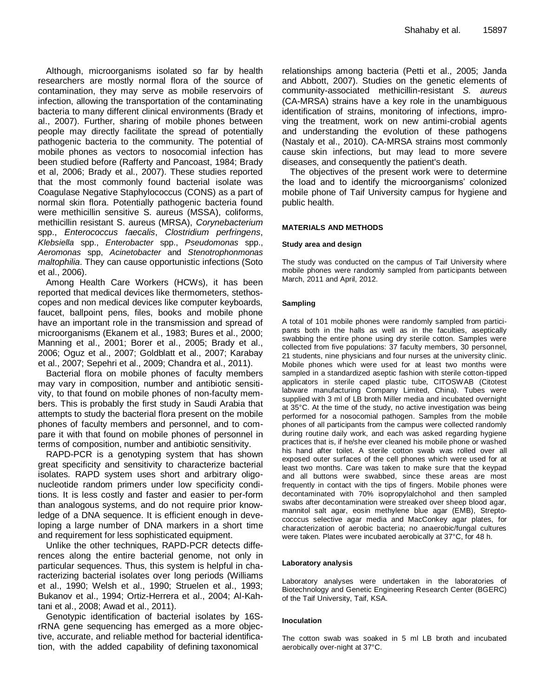Although, microorganisms isolated so far by health researchers are mostly normal flora of the source of contamination, they may serve as mobile reservoirs of infection, allowing the transportation of the contaminating bacteria to many different clinical environments (Brady et al., 2007). Further, sharing of mobile phones between people may directly facilitate the spread of potentially pathogenic bacteria to the community. The potential of mobile phones as vectors to nosocomial infection has been studied before (Rafferty and Pancoast, 1984; Brady et al, 2006; Brady et al., 2007). These studies reported that the most commonly found bacterial isolate was Coagulase Negative Staphylococcus (CONS) as a part of normal skin flora. Potentially pathogenic bacteria found were methicillin sensitive S. aureus (MSSA), coliforms, methicillin resistant S. aureus (MRSA), *Corynebacterium* spp., *Enterococcus faecalis*, *Clostridium perfringens*, *Klebsiella* spp., *Enterobacter* spp., *Pseudomonas* spp., *Aeromonas* spp, *Acinetobacter* and *Stenotrophonmonas maltophilia*. They can cause opportunistic infections (Soto et al., 2006).

Among Health Care Workers (HCWs), it has been reported that medical devices like thermometers, stethoscopes and non medical devices like computer keyboards, faucet, ballpoint pens, files, books and mobile phone have an important role in the transmission and spread of microorganisms (Ekanem et al., 1983; Bures et al., 2000; Manning et al., 2001; Borer et al., 2005; Brady et al., 2006; Oguz et al., 2007; Goldblatt et al., 2007; Karabay et al., 2007; Sepehri et al., 2009; Chandra et al., 2011).

Bacterial flora on mobile phones of faculty members may vary in composition, number and antibiotic sensitivity, to that found on mobile phones of non-faculty members. This is probably the first study in Saudi Arabia that attempts to study the bacterial flora present on the mobile phones of faculty members and personnel, and to compare it with that found on mobile phones of personnel in terms of composition, number and antibiotic sensitivity.

RAPD-PCR is a genotyping system that has shown great specificity and sensitivity to characterize bacterial isolates. RAPD system uses short and arbitrary oligonucleotide random primers under low specificity conditions. It is less costly and faster and easier to per-form than analogous systems, and do not require prior knowledge of a DNA sequence. It is efficient enough in developing a large number of DNA markers in a short time and requirement for less sophisticated equipment.

Unlike the other techniques, RAPD-PCR detects differences along the entire bacterial genome, not only in particular sequences. Thus, this system is helpful in characterizing bacterial isolates over long periods (Williams et al., 1990; Welsh et al., 1990; Struelen et al., 1993; Bukanov et al., 1994; Ortiz-Herrera et al., 2004; Al-Kahtani et al., 2008; Awad et al., 2011).

Genotypic identification of bacterial isolates by 16SrRNA gene sequencing has emerged as a more objective, accurate, and reliable method for bacterial identification, with the added capability of defining taxonomical

relationships among bacteria (Petti et al., 2005; Janda and Abbott, 2007). Studies on the genetic elements of community-associated methicillin-resistant *S. aureus* (CA-MRSA) strains have a key role in the unambiguous identification of strains, monitoring of infections, improving the treatment, work on new antimi-crobial agents and understanding the evolution of these pathogens (Nastaly et al., 2010). CA-MRSA strains most commonly cause skin infections, but may lead to more severe diseases, and consequently the patient's death.

The objectives of the present work were to determine the load and to identify the microorganisms' colonized mobile phone of Taif University campus for hygiene and public health.

## **MATERIALS AND METHODS**

#### **Study area and design**

The study was conducted on the campus of Taif University where mobile phones were randomly sampled from participants between March, 2011 and April, 2012.

#### **Sampling**

A total of 101 mobile phones were randomly sampled from participants both in the halls as well as in the faculties, aseptically swabbing the entire phone using dry sterile cotton. Samples were collected from five populations: 37 faculty members, 30 personnel, 21 students, nine physicians and four nurses at the university clinic. Mobile phones which were used for at least two months were sampled in a standardized aseptic fashion with sterile cotton-tipped applicators in sterile caped plastic tube, CITOSWAB (Citotest labware manufacturing Company Limited, China). Tubes were supplied with 3 ml of LB broth Miller media and incubated overnight at 35°C. At the time of the study, no active investigation was being performed for a nosocomial pathogen. Samples from the mobile phones of all participants from the campus were collected randomly during routine daily work, and each was asked regarding hygiene practices that is, if he/she ever cleaned his mobile phone or washed his hand after toilet. A sterile cotton swab was rolled over all exposed outer surfaces of the cell phones which were used for at least two months. Care was taken to make sure that the keypad and all buttons were swabbed, since these areas are most frequently in contact with the tips of fingers. Mobile phones were decontaminated with 70% isopropylalchohol and then sampled swabs after decontamination were streaked over sheep blood agar, mannitol salt agar, eosin methylene blue agar (EMB), Streptococccus selective agar media and MacConkey agar plates, for characterization of aerobic bacteria; no anaerobic/fungal cultures were taken. Plates were incubated aerobically at 37°C, for 48 h.

#### **Laboratory analysis**

Laboratory analyses were undertaken in the laboratories of Biotechnology and Genetic Engineering Research Center (BGERC) of the Taif University, Taif, KSA.

#### **Inoculation**

The cotton swab was soaked in 5 ml LB broth and incubated aerobically over-night at 37°C.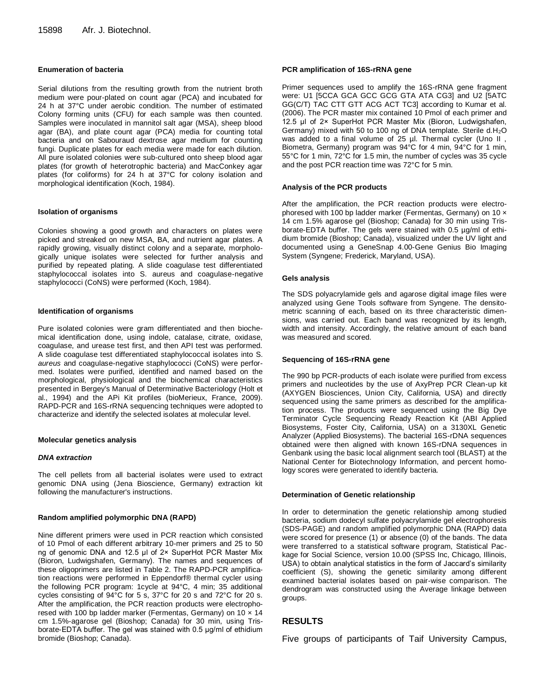#### **Enumeration of bacteria**

Serial dilutions from the resulting growth from the nutrient broth medium were pour-plated on count agar (PCA) and incubated for 24 h at 37°C under aerobic condition. The number of estimated Colony forming units (CFU) for each sample was then counted. Samples were inoculated in mannitol salt agar (MSA), sheep blood agar (BA), and plate count agar (PCA) media for counting total bacteria and on Sabouraud dextrose agar medium for counting fungi. Duplicate plates for each media were made for each dilution. All pure isolated colonies were sub-cultured onto sheep blood agar plates (for growth of heterotrophic bacteria) and MacConkey agar plates (for coliforms) for 24 h at 37°C for colony isolation and morphological identification (Koch, 1984).

#### **Isolation of organisms**

Colonies showing a good growth and characters on plates were picked and streaked on new MSA, BA, and nutrient agar plates. A rapidly growing, visually distinct colony and a separate, morphologically unique isolates were selected for further analysis and purified by repeated plating. A slide coagulase test differentiated staphylococcal isolates into S. aureus and coagulase-negative staphylococci (CoNS) were performed (Koch, 1984).

#### **Identification of organisms**

Pure isolated colonies were gram differentiated and then biochemical identification done, using indole, catalase, citrate, oxidase, coagulase, and urease test first, and then API test was performed. A slide coagulase test differentiated staphylococcal isolates into S. *aureus* and coagulase-negative staphylococci (CoNS) were performed. Isolates were purified, identified and named based on the morphological, physiological and the biochemical characteristics presented in Bergey's Manual of Determinative Bacteriology (Holt et al., 1994) and the APi Kit profiles (bioMerieux, France, 2009). RAPD-PCR and 16S-rRNA sequencing techniques were adopted to characterize and identify the selected isolates at molecular level.

#### **Molecular genetics analysis**

#### *DNA extraction*

The cell pellets from all bacterial isolates were used to extract genomic DNA using (Jena Bioscience, Germany) extraction kit following the manufacturer's instructions.

#### **Random amplified polymorphic DNA (RAPD)**

Nine different primers were used in PCR reaction which consisted of 10 Pmol of each different arbitrary 10-mer primers and 25 to 50 ng of genomic DNA and 12.5 μl of 2× SuperHot PCR Master Mix (Bioron, Ludwigshafen, Germany). The names and sequences of these oligoprimers are listed in Table 2. The RAPD-PCR amplification reactions were performed in Eppendorf® thermal cycler using the following PCR program: 1cycle at 94°C, 4 min; 35 additional cycles consisting of 94°C for 5 s, 37°C for 20 s and 72°C for 20 s. After the amplification, the PCR reaction products were electrophoresed with 100 bp ladder marker (Fermentas, Germany) on 10  $\times$  14 cm 1.5%-agarose gel (Bioshop; Canada) for 30 min, using Trisborate-EDTA buffer. The gel was stained with 0.5 μg/ml of ethidium bromide (Bioshop; Canada).

#### **PCR amplification of 16S-rRNA gene**

Primer sequences used to amplify the 16S-rRNA gene fragment were: U1 [5CCA GCA GCC GCG GTA ATA CG3] and U2 [5ATC GG(C/T) TAC CTT GTT ACG ACT TC3] according to Kumar et al. (2006). The PCR master mix contained 10 Pmol of each primer and 12.5 μl of 2× SuperHot PCR Master Mix (Bioron, Ludwigshafen, Germany) mixed with 50 to 100 ng of DNA template. Sterile d.H<sub>2</sub>O was added to a final volume of 25 µl. Thermal cycler (Uno II, Biometra, Germany) program was 94°C for 4 min, 94°C for 1 min, 55°C for 1 min, 72°C for 1.5 min, the number of cycles was 35 cycle and the post PCR reaction time was 72°C for 5 min.

#### **Analysis of the PCR products**

After the amplification, the PCR reaction products were electrophoresed with 100 bp ladder marker (Fermentas, Germany) on 10 × 14 cm 1.5% agarose gel (Bioshop; Canada) for 30 min using Trisborate-EDTA buffer. The gels were stained with 0.5 µg/ml of ethidium bromide (Bioshop; Canada), visualized under the UV light and documented using a GeneSnap 4.00-Gene Genius Bio Imaging System (Syngene; Frederick, Maryland, USA).

#### **Gels analysis**

The SDS polyacrylamide gels and agarose digital image files were analyzed using Gene Tools software from Syngene. The densitometric scanning of each, based on its three characteristic dimensions, was carried out. Each band was recognized by its length, width and intensity. Accordingly, the relative amount of each band was measured and scored.

#### **Sequencing of 16S-rRNA gene**

The 990 bp PCR-products of each isolate were purified from excess primers and nucleotides by the use of AxyPrep PCR Clean-up kit (AXYGEN Biosciences, Union City, California, USA) and directly sequenced using the same primers as described for the amplification process. The products were sequenced using the Big Dye Terminator Cycle Sequencing Ready Reaction Kit (ABI Applied Biosystems, Foster City, California, USA) on a 3130XL Genetic Analyzer (Applied Biosystems). The bacterial 16S-rDNA sequences obtained were then aligned with known 16S-rDNA sequences in Genbank using the basic local alignment search tool (BLAST) at the National Center for Biotechnology Information, and percent homology scores were generated to identify bacteria.

#### **Determination of Genetic relationship**

In order to determination the genetic relationship among studied bacteria, sodium dodecyl sulfate polyacrylamide gel electrophoresis (SDS-PAGE) and random amplified polymorphic DNA (RAPD) data were scored for presence (1) or absence (0) of the bands. The data were transferred to a statistical software program, Statistical Package for Social Science, version 10.00 (SPSS Inc, Chicago, Illinois, USA) to obtain analytical statistics in the form of Jaccard's similarity coefficient (S), showing the genetic similarity among different examined bacterial isolates based on pair-wise comparison. The dendrogram was constructed using the Average linkage between groups.

## **RESULTS**

Five groups of participants of Taif University Campus,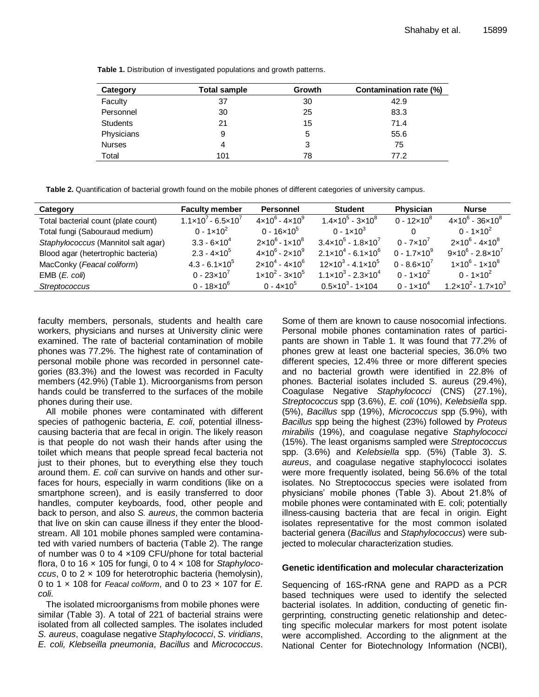**Table 1.** Distribution of investigated populations and growth patterns.

| Category        | <b>Total sample</b> | Growth | Contamination rate (%) |
|-----------------|---------------------|--------|------------------------|
| Faculty         | 37                  | 30     | 42.9                   |
| Personnel       | 30                  | 25     | 83.3                   |
| <b>Students</b> | 21                  | 15     | 71.4                   |
| Physicians      | 9                   | 5      | 55.6                   |
| <b>Nurses</b>   | 4                   | 3      | 75                     |
| Total           | 101                 | 78     | 77.2                   |

**Table 2.** Quantification of bacterial growth found on the mobile phones of different categories of university campus.

| Category                            | <b>Faculty member</b>                   | <b>Personnel</b>                    | <b>Student</b>                          | Physician               | <b>Nurse</b>                            |
|-------------------------------------|-----------------------------------------|-------------------------------------|-----------------------------------------|-------------------------|-----------------------------------------|
| Total bacterial count (plate count) | $1.1 \times 10^{7} - 6.5 \times 10^{7}$ | $4 \times 10^6$ - $4 \times 10^9$   | $1.4 \times 10^5 - 3 \times 10^8$       | $0 - 12 \times 10^8$    | $4 \times 10^6 - 36 \times 10^8$        |
| Total fungi (Sabouraud medium)      | $0 - 1 \times 10^{2}$                   | $0 - 16 \times 10^{5}$              | $0 - 1 \times 10^{3}$                   | $\Omega$                | $0 - 1 \times 10^{2}$                   |
| Staphylococcus (Mannitol salt agar) | $3.3 - 6 \times 10^4$                   | $2 \times 10^6$ - 1 $\times 10^8$   | $3.4 \times 10^5 - 1.8 \times 10^7$     | $0 - 7 \times 10^{7}$   | $2 \times 10^6 - 4 \times 10^8$         |
| Blood agar (hetertrophic bacteria)  | $2.3 - 4 \times 10^5$                   | $4 \times 10^{6} - 2 \times 10^{9}$ | $2.1 \times 10^{4} - 6.1 \times 10^{6}$ | $0 - 1.7 \times 10^{9}$ | $9 \times 10^6 - 2.8 \times 10^7$       |
| MacConky (Feacal coliform)          | $4.3 - 6.1 \times 10^5$                 | $2 \times 10^{4} - 4 \times 10^{6}$ | $12 \times 10^3 - 4.1 \times 10^5$      | $0 - 8.6 \times 10^7$   | $1 \times 10^6$ - $1 \times 10^8$       |
| $EMB$ ( <i>E. coli</i> )            | $0 - 23 \times 10^{7}$                  | $1 \times 10^{2} - 3 \times 10^{5}$ | $1.1 \times 10^{3} - 2.3 \times 10^{4}$ | $0 - 1 \times 10^{2}$   | $0 - 1 \times 10^{2}$                   |
| <b>Streptococcus</b>                | $0 - 18 \times 10^6$                    | $0 - 4 \times 10^{5}$               | $0.5 \times 10^3$ - 1×104               | $0 - 1 \times 10^{4}$   | $1.2 \times 10^{2} - 1.7 \times 10^{3}$ |

faculty members, personals, students and health care workers, physicians and nurses at University clinic were examined. The rate of bacterial contamination of mobile phones was 77.2%. The highest rate of contamination of personal mobile phone was recorded in personnel categories (83.3%) and the lowest was recorded in Faculty members (42.9%) (Table 1). Microorganisms from person hands could be transferred to the surfaces of the mobile phones during their use.

All mobile phones were contaminated with different species of pathogenic bacteria, *E. coli*, potential illnesscausing bacteria that are fecal in origin. The likely reason is that people do not wash their hands after using the toilet which means that people spread fecal bacteria not just to their phones, but to everything else they touch around them. *E. coli* can survive on hands and other surfaces for hours, especially in warm conditions (like on a smartphone screen), and is easily transferred to door handles, computer keyboards, food, other people and back to person, and also *S. aureus*, the common bacteria that live on skin can cause illness if they enter the bloodstream. All 101 mobile phones sampled were contaminated with varied numbers of bacteria (Table 2). The range of number was 0 to 4 ×109 CFU/phone for total bacterial flora, 0 to 16 × 105 for fungi, 0 to 4 × 108 for *Staphylococcus*, 0 to 2 × 109 for heterotrophic bacteria (hemolysin), 0 to 1 × 108 for *Feacal coliform*, and 0 to 23 × 107 for *E. coli.*

The isolated microorganisms from mobile phones were similar (Table 3). A total of 221 of bacterial strains were isolated from all collected samples. The isolates included *S. aureus*, coagulase negative *Staphylococci*, *S. viridians*, *E. coli, Klebseilla pneumonia*, *Bacillus* and *Micrococcus*. Some of them are known to cause nosocomial infections. Personal mobile phones contamination rates of participants are shown in Table 1. It was found that 77.2% of phones grew at least one bacterial species, 36.0% two different species, 12.4% three or more different species and no bacterial growth were identified in 22.8% of phones. Bacterial isolates included S. aureus (29.4%), Coagulase Negative *Staphylococci* (CNS) (27.1%), *Streptococcus* spp (3.6%), *E. coli* (10%), *Kelebsiella* spp. (5%), *Bacillus* spp (19%), *Micrococcus* spp (5.9%), with *Bacillus* spp being the highest (23%) followed by *Proteus mirabilis* (19%), and coagulase negative *Staphylococci* (15%). The least organisms sampled were *Streptococcus* spp. (3.6%) and *Kelebsiella* spp. (5%) (Table 3). *S. aureus*, and coagulase negative staphylococci isolates were more frequently isolated, being 56.6% of the total isolates. No Streptococcus species were isolated from physicians' mobile phones (Table 3). About 21.8% of mobile phones were contaminated with E. coli; potentially illness-causing bacteria that are fecal in origin. Eight isolates representative for the most common isolated bacterial genera (*Bacillus* and *Staphylococcus*) were subjected to molecular characterization studies.

## **Genetic identification and molecular characterization**

Sequencing of 16S-rRNA gene and RAPD as a PCR based techniques were used to identify the selected bacterial isolates. In addition, conducting of genetic fingerprinting, constructing genetic relationship and detecting specific molecular markers for most potent isolate were accomplished. According to the alignment at the National Center for Biotechnology Information (NCBI),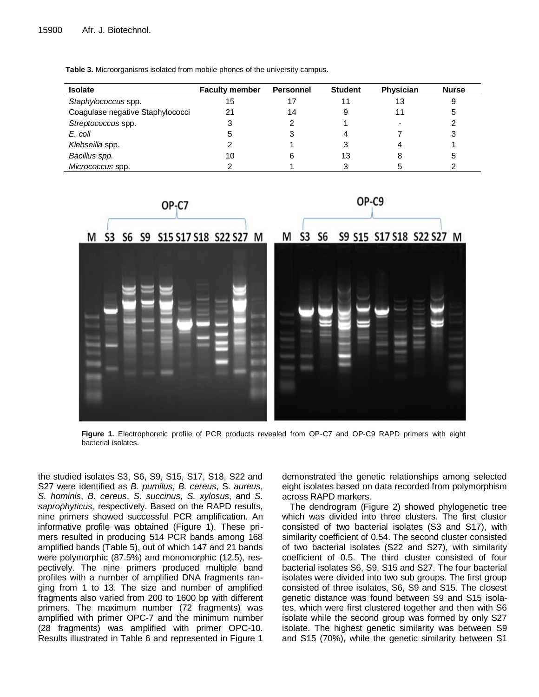**Table 3.** Microorganisms isolated from mobile phones of the university campus.

| <b>Isolate</b>                   | <b>Faculty member</b> | <b>Personnel</b> | <b>Student</b> | <b>Physician</b> | <b>Nurse</b> |
|----------------------------------|-----------------------|------------------|----------------|------------------|--------------|
| Staphylococcus spp.              | 15                    |                  | 11             | 13               | 9            |
| Coagulase negative Staphylococci | 21                    | 14               |                |                  | 5            |
| Streptococcus spp.               |                       |                  |                |                  |              |
| E. coli                          |                       |                  |                |                  |              |
| Klebseilla spp.                  |                       |                  |                |                  |              |
| Bacillus spp.                    | 10                    |                  | 13             | 8                |              |
| Micrococcus spp.                 |                       |                  |                |                  |              |



**Figure 1.** Electrophoretic profile of PCR products revealed from OP-C7 and OP-C9 RAPD primers with eight bacterial isolates.

the studied isolates S3, S6, S9, S15, S17, S18, S22 and S27 were identified as *B. pumilus*, *B. cereus*, S. *aureus*, *S. hominis*, *B. cereus*, *S. succinus*, *S. xylosus*, and *S. saprophyticus,* respectively. Based on the RAPD results, nine primers showed successful PCR amplification. An informative profile was obtained (Figure 1). These primers resulted in producing 514 PCR bands among 168 amplified bands (Table 5), out of which 147 and 21 bands were polymorphic (87.5%) and monomorphic (12.5), respectively. The nine primers produced multiple band profiles with a number of amplified DNA fragments ranging from 1 to 13. The size and number of amplified fragments also varied from 200 to 1600 bp with different primers. The maximum number (72 fragments) was amplified with primer OPC-7 and the minimum number (28 fragments) was amplified with primer OPC-10. Results illustrated in Table 6 and represented in Figure 1 demonstrated the genetic relationships among selected eight isolates based on data recorded from polymorphism across RAPD markers.

The dendrogram (Figure 2) showed phylogenetic tree which was divided into three clusters. The first cluster consisted of two bacterial isolates (S3 and S17), with similarity coefficient of 0.54. The second cluster consisted of two bacterial isolates (S22 and S27), with similarity coefficient of 0.5. The third cluster consisted of four bacterial isolates S6, S9, S15 and S27. The four bacterial isolates were divided into two sub groups. The first group consisted of three isolates, S6, S9 and S15. The closest genetic distance was found between S9 and S15 isolates, which were first clustered together and then with S6 isolate while the second group was formed by only S27 isolate. The highest genetic similarity was between S9 and S15 (70%), while the genetic similarity between S1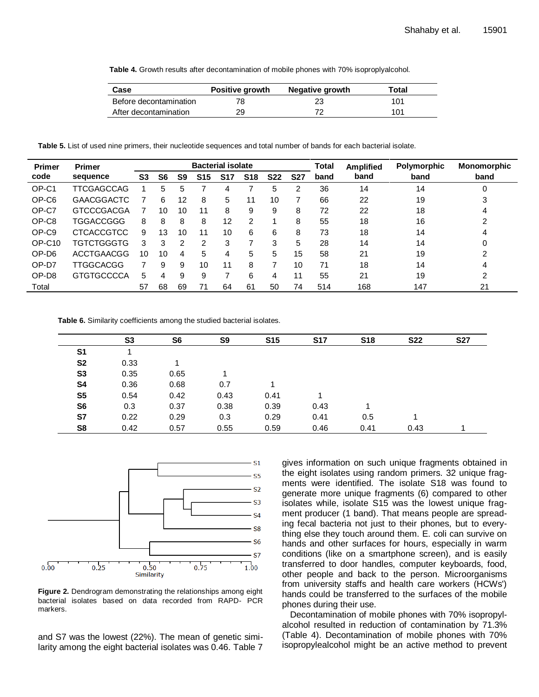**Table 4.** Growth results after decontamination of mobile phones with 70% isoproplyalcohol.

| Case                   | <b>Positive growth</b> | Negative growth | Total |
|------------------------|------------------------|-----------------|-------|
| Before decontamination | 78                     | 23              | 101   |
| After decontamination  | 29                     | 72              | 101   |

**Table 5.** List of used nine primers, their nucleotide sequences and total number of bands for each bacterial isolate.

| <b>Primer</b><br><b>Primer</b> |                   | <b>Bacterial isolate</b> |    |    |            |            |            |            |            | <b>Total</b> | <b>Amplified</b> | Polymorphic | <b>Monomorphic</b> |
|--------------------------------|-------------------|--------------------------|----|----|------------|------------|------------|------------|------------|--------------|------------------|-------------|--------------------|
| code                           | sequence          | S <sub>3</sub>           | S6 | S9 | <b>S15</b> | <b>S17</b> | <b>S18</b> | <b>S22</b> | <b>S27</b> | band<br>band | band             | band        |                    |
| OP-C1                          | TTCGAGCCAG        |                          | 5  | 5  |            | 4          |            | 5          | 2          | 36           | 14               | 14          | 0                  |
| OP-C6                          | <b>GAACGGACTC</b> |                          | 6  | 12 | 8          | 5          | 11         | 10         |            | 66           | 22               | 19          | 3                  |
| OP-C7                          | <b>GTCCCGACGA</b> |                          | 10 | 10 | 11         | 8          | 9          | 9          | 8          | 72           | 22               | 18          | 4                  |
| OP-C8                          | TGGACCGGG         | 8                        | 8  | 8  | 8          | 12         | 2          |            | 8          | 55           | 18               | 16          | 2                  |
| OP-C9                          | <b>CTCACCGTCC</b> | 9                        | 13 | 10 | 11         | 10         | 6          | 6          | 8          | 73           | 18               | 14          | 4                  |
| $OP-C10$                       | TGTCTGGGTG        | 3                        | 3  | 2  | 2          | 3          | 7          | 3          | 5          | 28           | 14               | 14          | 0                  |
| OP-D <sub>6</sub>              | <b>ACCTGAACGG</b> | 10                       | 10 | 4  | 5          | 4          | 5          | 5          | 15         | 58           | 21               | 19          | 2                  |
| OP-D7                          | TTGGCACGG         |                          | 9  | 9  | 10         | 11         | 8          |            | 10         | 71           | 18               | 14          | 4                  |
| OP-D <sub>8</sub>              | <b>GTGTGCCCCA</b> | 5                        | 4  | 9  | 9          |            | 6          | 4          | 11         | 55           | 21               | 19          | 2                  |
| Total                          |                   | 57                       | 68 | 69 |            | 64         | 61         | 50         | 74         | 514          | 168              | 147         | 21                 |

**Table 6.** Similarity coefficients among the studied bacterial isolates.

|                | S <sub>3</sub> | S <sub>6</sub> | S9   | <b>S15</b> | <b>S17</b> | <b>S18</b> | <b>S22</b> | <b>S27</b> |
|----------------|----------------|----------------|------|------------|------------|------------|------------|------------|
| S <sub>1</sub> |                |                |      |            |            |            |            |            |
| S <sub>2</sub> | 0.33           |                |      |            |            |            |            |            |
| S <sub>3</sub> | 0.35           | 0.65           |      |            |            |            |            |            |
| S4             | 0.36           | 0.68           | 0.7  |            |            |            |            |            |
| S <sub>5</sub> | 0.54           | 0.42           | 0.43 | 0.41       |            |            |            |            |
| S <sub>6</sub> | 0.3            | 0.37           | 0.38 | 0.39       | 0.43       |            |            |            |
| S7             | 0.22           | 0.29           | 0.3  | 0.29       | 0.41       | 0.5        |            |            |
| S <sub>8</sub> | 0.42           | 0.57           | 0.55 | 0.59       | 0.46       | 0.41       | 0.43       |            |



**Figure 2.** Dendrogram demonstrating the relationships among eight bacterial isolates based on data recorded from RAPD- PCR markers.

and S7 was the lowest (22%). The mean of genetic similarity among the eight bacterial isolates was 0.46. Table 7

gives information on such unique fragments obtained in the eight isolates using random primers. 32 unique fragments were identified. The isolate S18 was found to generate more unique fragments (6) compared to other isolates while, isolate S15 was the lowest unique fragment producer (1 band). That means people are spreading fecal bacteria not just to their phones, but to everything else they touch around them. E. coli can survive on hands and other surfaces for hours, especially in warm conditions (like on a smartphone screen), and is easily transferred to door handles, computer keyboards, food, other people and back to the person. Microorganisms from university staffs and health care workers (HCWs') hands could be transferred to the surfaces of the mobile phones during their use.

Decontamination of mobile phones with 70% isopropylalcohol resulted in reduction of contamination by 71.3% (Table 4). Decontamination of mobile phones with 70% isopropylealcohol might be an active method to prevent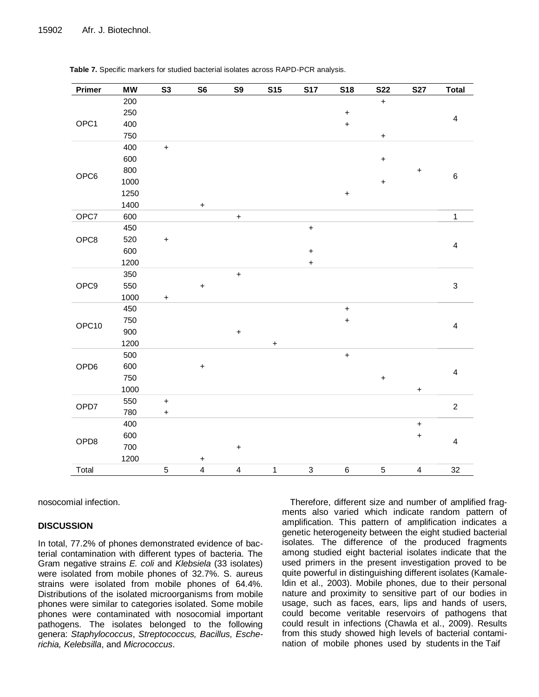| Primer | ${\sf MW}$ | S3          | S <sub>6</sub>          | S9                      | <b>S15</b>  | <b>S17</b>                | <b>S18</b>           | <b>S22</b> | <b>S27</b>              | <b>Total</b>            |
|--------|------------|-------------|-------------------------|-------------------------|-------------|---------------------------|----------------------|------------|-------------------------|-------------------------|
|        | 200        |             |                         |                         |             |                           |                      | $\ddot{}$  |                         |                         |
|        | 250        |             |                         |                         |             |                           | $\color{red}{+}$     |            |                         | $\overline{\mathbf{4}}$ |
| OPC1   | 400        |             |                         |                         |             |                           | $\ddot{}$            |            |                         |                         |
|        | 750        |             |                         |                         |             |                           |                      | $\ddot{}$  |                         |                         |
|        | 400        | $\ddot{}$   |                         |                         |             |                           |                      |            |                         |                         |
|        | 600        |             |                         |                         |             |                           |                      | $\ddot{}$  |                         |                         |
| OPC6   | 800        |             |                         |                         |             |                           |                      |            | $\ddot{}$               | $\,6$                   |
|        | 1000       |             |                         |                         |             |                           |                      | $\ddot{}$  |                         |                         |
|        | 1250       |             |                         |                         |             |                           | $\ddot{}$            |            |                         |                         |
|        | 1400       |             | $\ddot{}$               |                         |             |                           |                      |            |                         |                         |
| OPC7   | 600        |             |                         | $\ddot{}$               |             |                           |                      |            |                         | $\mathbf{1}$            |
|        | 450        |             |                         |                         |             | $\ddot{}$                 |                      |            |                         |                         |
| OPC8   | 520        | $\ddot{}$   |                         |                         |             |                           |                      |            |                         | $\overline{\mathbf{4}}$ |
|        | 600        |             |                         |                         |             | $\ddot{}$                 |                      |            |                         |                         |
|        | 1200       |             |                         |                         |             | $\ddot{}$                 |                      |            |                         |                         |
|        | 350        |             |                         | $\ddot{\phantom{1}}$    |             |                           |                      |            |                         |                         |
| OPC9   | 550        |             | $\ddot{}$               |                         |             |                           |                      |            |                         | $\mathsf 3$             |
|        | 1000       | $\ddot{}$   |                         |                         |             |                           |                      |            |                         |                         |
|        | 450        |             |                         |                         |             |                           | $\color{red}{+}$     |            |                         |                         |
| OPC10  | 750        |             |                         |                         |             |                           | $\ddot{}$            |            |                         | $\overline{\mathbf{4}}$ |
|        | 900        |             |                         | $\ddot{}$               |             |                           |                      |            |                         |                         |
|        | 1200       |             |                         |                         | $+$         |                           |                      |            |                         |                         |
|        | 500        |             |                         |                         |             |                           | $\ddot{\phantom{1}}$ |            |                         |                         |
| OPD6   | 600        |             | $\ddot{}$               |                         |             |                           |                      |            |                         | $\overline{4}$          |
|        | 750        |             |                         |                         |             |                           |                      | $\ddot{}$  |                         |                         |
|        | 1000       |             |                         |                         |             |                           |                      |            | $\ddot{}$               |                         |
| OPD7   | 550        | $\ddot{}$   |                         |                         |             |                           |                      |            |                         | $\boldsymbol{2}$        |
|        | 780        | $\ddot{}$   |                         |                         |             |                           |                      |            |                         |                         |
|        | 400        |             |                         |                         |             |                           |                      |            | $\color{red}{+}$        |                         |
| OPD8   | 600        |             |                         |                         |             |                           |                      |            | $\color{red}{+}$        | $\overline{\mathbf{4}}$ |
|        | 700        |             |                         | $\ddot{}$               |             |                           |                      |            |                         |                         |
|        | 1200       |             | $\ddot{}$               |                         |             |                           |                      |            |                         |                         |
| Total  |            | $\mathbf 5$ | $\overline{\mathbf{4}}$ | $\overline{\mathbf{4}}$ | $\mathbf 1$ | $\ensuremath{\mathsf{3}}$ | $\,6\,$              | 5          | $\overline{\mathbf{4}}$ | 32                      |

**Table 7.** Specific markers for studied bacterial isolates across RAPD-PCR analysis.

nosocomial infection.

# **DISCUSSION**

In total, 77.2% of phones demonstrated evidence of bacterial contamination with different types of bacteria. The Gram negative strains *E. coli* and *Klebsiela* (33 isolates) were isolated from mobile phones of 32.7%. S. aureus strains were isolated from mobile phones of 64.4%. Distributions of the isolated microorganisms from mobile phones were similar to categories isolated. Some mobile phones were contaminated with nosocomial important pathogens. The isolates belonged to the following genera: *Staphylococcus*, *Streptococcus, Bacillus, Escherichia, Kelebsilla*, and *Micrococcus*.

Therefore, different size and number of amplified fragments also varied which indicate random pattern of amplification. This pattern of amplification indicates a genetic heterogeneity between the eight studied bacterial isolates. The difference of the produced fragments among studied eight bacterial isolates indicate that the used primers in the present investigation proved to be quite powerful in distinguishing different isolates (Kamaleldin et al., 2003). Mobile phones, due to their personal nature and proximity to sensitive part of our bodies in usage, such as faces, ears, lips and hands of users, could become veritable reservoirs of pathogens that could result in infections (Chawla et al., 2009). Results from this study showed high levels of bacterial contamination of mobile phones used by students in the Taif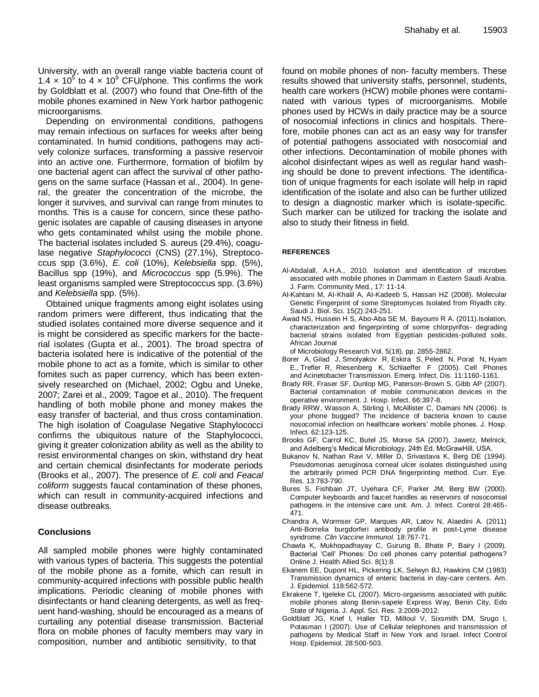University, with an overall range viable bacteria count of 1.4  $\times$  10<sup>5</sup> to 4  $\times$  10<sup>9</sup> CFU/phone. This confirms the work by Goldblatt et al. (2007) who found that One-fifth of the mobile phones examined in New York harbor pathogenic microorganisms.

Depending on environmental conditions, pathogens may remain infectious on surfaces for weeks after being contaminated. In humid conditions, pathogens may actively colonize surfaces, transforming a passive reservoir into an active one. Furthermore, formation of biofilm by one bacterial agent can affect the survival of other pathogens on the same surface (Hassan et al., 2004). In general, the greater the concentration of the microbe, the longer it survives, and survival can range from minutes to months. This is a cause for concern, since these pathogenic isolates are capable of causing diseases in anyone who gets contaminated whilst using the mobile phone. The bacterial isolates included S. aureus (29.4%), coagulase negative *Staphylococc*i (CNS) (27.1%), Streptococcus spp (3.6%), *E. coli* (10%), *Kelebsiella* spp. (5%), Bacillus spp (19%), and *Micrococcus* spp (5.9%). The least organisms sampled were Streptococcus spp. (3.6%) and *Kelebsiella* spp. (5%).

Obtained unique fragments among eight isolates using random primers were different, thus indicating that the studied isolates contained more diverse sequence and it is might be considered as specific markers for the bacterial isolates (Gupta et al., 2001). The broad spectra of bacteria isolated here is indicative of the potential of the mobile phone to act as a fomite, which is similar to other fomites such as paper currency, which has been extensively researched on (Michael, 2002; Ogbu and Uneke, 2007; Zarei et al., 2009; Tagoe et al., 2010). The frequent handling of both mobile phone and money makes the easy transfer of bacterial, and thus cross contamination. The high isolation of Coagulase Negative Staphylococci confirms the ubiquitous nature of the Staphylococci, giving it greater colonization ability as well as the ability to resist environmental changes on skin, withstand dry heat and certain chemical disinfectants for moderate periods (Brooks et al., 2007). The presence of *E. coli* and *Feacal coliform* suggests faucal contamination of these phones, which can result in community-acquired infections and disease outbreaks.

## **Conclusions**

All sampled mobile phones were highly contaminated with various types of bacteria. This suggests the potential of the mobile phone as a fomite, which can result in community-acquired infections with possible public health implications. Periodic cleaning of mobile phones with disinfectants or hand cleaning detergents, as well as frequent hand-washing, should be encouraged as a means of curtailing any potential disease transmission. Bacterial flora on mobile phones of faculty members may vary in composition, number and antibiotic sensitivity, to that

found on mobile phones of non- faculty members. These results showed that university staffs, personnel, students, health care workers (HCW) mobile phones were contaminated with various types of microorganisms. Mobile phones used by HCWs in daily practice may be a source of nosocomial infections in clinics and hospitals. Therefore, mobile phones can act as an easy way for transfer of potential pathogens associated with nosocomial and other infections. Decontamination of mobile phones with alcohol disinfectant wipes as well as regular hand washing should be done to prevent infections. The identification of unique fragments for each isolate will help in rapid identification of the isolate and also can be further utilized to design a diagnostic marker which is isolate-specific. Such marker can be utilized for tracking the isolate and also to study their fitness in field.

#### **REFERENCES**

- Al-Abdalall, A.H.A., 2010. Isolation and identification of microbes associated with mobile phones in Dammam in Eastern Saudi Arabia. J. Farm. Community Med., 17: 11-14.
- Al-Kahtani M, AI-Khalil A, AI-Kadeeb S, Hassan HZ (2008). Molecular Genetic Fingerprint of some Streptomyces Isolated from Riyadh city. Saudi J. Biol. Sci. 15(2):243-251.
- Awad NS, Hussein H S, Abo-Aba SE M, Bayoumi R A. (2011).Isolation, characterization and fingerprinting of some chlorpyrifos- degrading bacterial strains isolated from Egyptian pesticides-polluted soils, African Journal
- of Microbiology Research Vol. 5(18), pp. 2855-2862.
- [Borer A,](http://www.ncbi.nlm.nih.gov/pubmed?term=Borer%20A%5BAuthor%5D&cauthor=true&cauthor_uid=16032803) [Gilad J,](http://www.ncbi.nlm.nih.gov/pubmed?term=Gilad%20J%5BAuthor%5D&cauthor=true&cauthor_uid=16032803) [Smolyakov R,](http://www.ncbi.nlm.nih.gov/pubmed?term=Smolyakov%20R%5BAuthor%5D&cauthor=true&cauthor_uid=16032803) [Eskira S,](http://www.ncbi.nlm.nih.gov/pubmed?term=Eskira%20S%5BAuthor%5D&cauthor=true&cauthor_uid=16032803) [Peled N,](http://www.ncbi.nlm.nih.gov/pubmed?term=Peled%20N%5BAuthor%5D&cauthor=true&cauthor_uid=16032803) [Porat N,](http://www.ncbi.nlm.nih.gov/pubmed?term=Porat%20N%5BAuthor%5D&cauthor=true&cauthor_uid=16032803) [Hyam](http://www.ncbi.nlm.nih.gov/pubmed?term=Hyam%20E%5BAuthor%5D&cauthor=true&cauthor_uid=16032803)  [E.](http://www.ncbi.nlm.nih.gov/pubmed?term=Hyam%20E%5BAuthor%5D&cauthor=true&cauthor_uid=16032803), [Trefler](http://www.ncbi.nlm.nih.gov/pubmed?term=Trefler%20R%5BAuthor%5D&cauthor=true&cauthor_uid=16032803) R, [Riesenberg K,](http://www.ncbi.nlm.nih.gov/pubmed?term=Riesenberg%20K%5BAuthor%5D&cauthor=true&cauthor_uid=16032803) [Schlaeffer F](http://www.ncbi.nlm.nih.gov/pubmed?term=Schlaeffer%20F%5BAuthor%5D&cauthor=true&cauthor_uid=16032803) (2005). Cell Phones and Acinetobacter Transmission. Emerg. Infect. Dis. 11:1160-1161.
- Brady RR, Fraser SF, Dunlop MG, Paterson-Brown S, Gibb AP (2007). Bacterial contamination of mobile communication devices in the operative environment. J. Hosp. Infect. 66:397-8.
- Brady RRW, Wasson A, Stirling I, McAllister C, Damani NN (2006). Is your phone bugged? The incidence of bacteria known to cause nosocomial infection on healthcare workers' mobile phones. J. Hosp. Infect. 62:123-125.
- Brooks GF, Carrol KC, Butel JS, Morse SA (2007). Jawetz, Melnick, and Adelberg's Medical Microbiology, 24th Ed. McGrawHill, USA.
- Bukanov N, Nathan Ravi V, Miller D, Srivastava K, Berg DE (1994). Pseudomonas aeruginosa corneal ulcer isolates distinguished using the arbitrarily primed PCR DNA fingerprinting method. Curr. Eye. Res. 13:783-790.
- Bures S, Fishbain JT, Uyehara CF, Parker JM, Berg BW (2000). Computer keyboards and faucet handles as reservoirs of nosocomial pathogens in the intensive care unit. Am. J. Infect. Control 28:465- 471.
- Chandra A, Wormser GP, Marques AR, Latov N, Alaedini A. (2011) Anti-Borrelia burgdorferi antibody profile in post-Lyme disease syndrome. *Clin Vaccine Immunol.* 18:767-71.
- Chawla K, Mukhopadhayay C, Gurung B, Bhate P, Bairy I (2009). Bacterial 'Cell' Phones: Do cell phones carry potential pathogens? Online J. Health Allied Sci. 8(1):8.
- Ekanem EE, Dupont HL, Pickering LK, Selwyn BJ, Hawkins CM (1983) Transmission dynamics of enteric bacteria in day-care centers. Am. J. Epidemiol. 118:562-572.
- Ekrakene T, Igeleke CL (2007). Micro-organisms associated with public mobile phones along Benin-sapele Express Way, Benin City, Edo State of Nigeria. J. Appl. Sci. Res. 3:2009-2012.
- Goldblatt JG, Krief I, Haller TD, Milloul V, Sixsmith DM, Srugo I, Potasman I (2007). Use of Cellular telephones and transmission of pathogens by Medical Staff in New York and Israel. Infect Control Hosp. Epidemiol. 28:500-503.